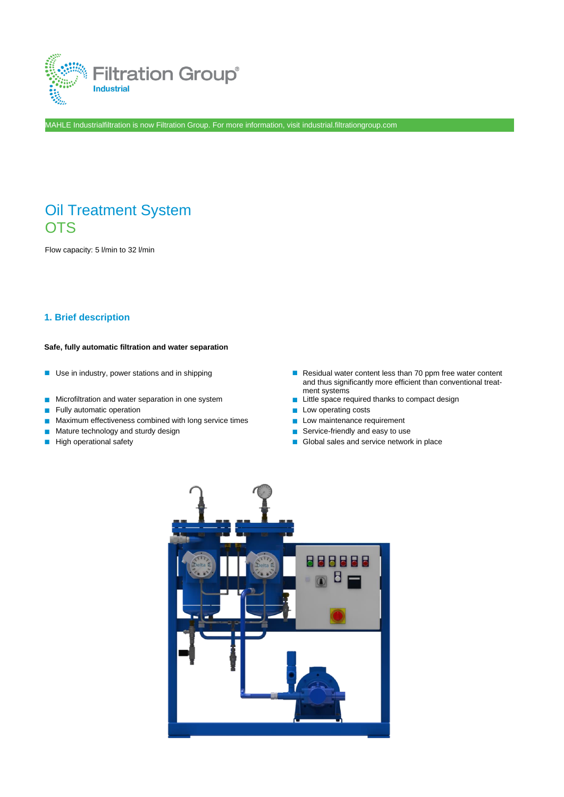

MAHLE Industrialfiltration is now Filtration Group. For more information, visit industrial.filtrationgroup.com

# Oil Treatment System **OTS**

Flow capacity: 5 l/min to 32 l/min

### **1. Brief description**

#### **Safe, fully automatic filtration and water separation**

- 
- Microfiltration and water separation in one system
- Fully automatic operation ■ Low operating costs
- Maximum effectiveness combined with long service times Low maintenance requirement
- Mature technology and sturdy design <br>■ High operational safety <br>■ Global sales and service network
- 
- Use in industry, power stations and in shipping <br>■ Residual water content less than 70 ppm free water content and thus significantly more efficient than conventional treatment systems<br>
Little space required thanks to compact design
	-
	-
	-
	-
- High operational safety Global sales and service network in place

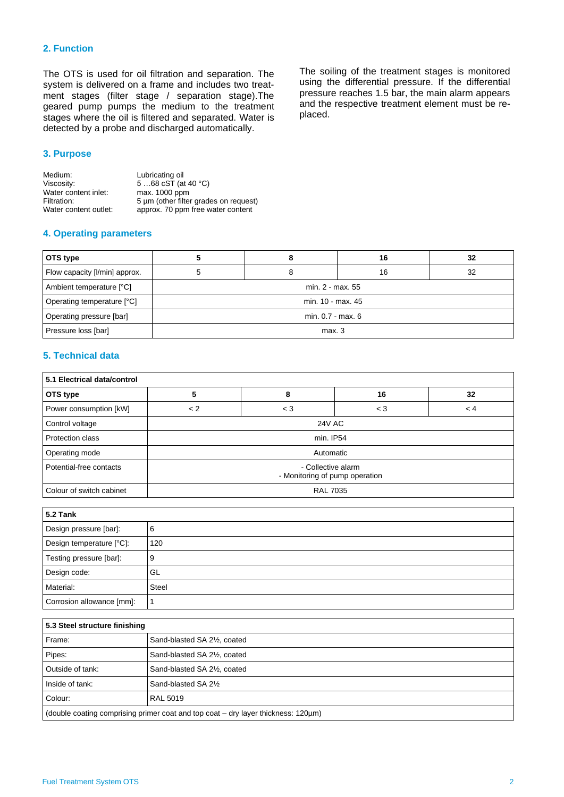### **2. Function**

The OTS is used for oil filtration and separation. The system is delivered on a frame and includes two treatment stages (filter stage / separation stage).The geared pump pumps the medium to the treatment stages where the oil is filtered and separated. Water is detected by a probe and discharged automatically.

#### **3. Purpose**

| Medium:               | Lubricating oil                       |
|-----------------------|---------------------------------------|
| Viscosity:            | 568 cST (at 40 $^{\circ}$ C)          |
| Water content inlet:  | max. 1000 ppm                         |
| Filtration:           | 5 um (other filter grades on request) |
| Water content outlet: | approx. 70 ppm free water content     |

#### **4. Operating parameters**

**OTS type 5 8 16 32** Flow capacity [I/min] approx.  $\begin{vmatrix} 5 & 1 \end{vmatrix}$  8 16 16 16 Ambient temperature [°C] example and the min. 2 - max. 55 Operating temperature [°C] min. 10 - max. 45 Operating pressure [bar] **a** min. 0.7 - max. 6 Pressure loss [bar] **name is a contract of the contract of the contract of the contract of the contract of the contract of the contract of the contract of the contract of the contract of the contract of the contract of the** 

### **5. Technical data**

| 5.1 Electrical data/control |                                                      |       |       |         |
|-----------------------------|------------------------------------------------------|-------|-------|---------|
| OTS type                    | 5                                                    | 8     | 16    | 32      |
| Power consumption [kW]      | < 2                                                  | $<$ 3 | $<$ 3 | $\lt 4$ |
| Control voltage             | <b>24V AC</b>                                        |       |       |         |
| Protection class            | min. IP54                                            |       |       |         |
| Operating mode              | Automatic                                            |       |       |         |
| Potential-free contacts     | - Collective alarm<br>- Monitoring of pump operation |       |       |         |
| Colour of switch cabinet    | <b>RAL 7035</b>                                      |       |       |         |

| <b>5.2 Tank</b>           |              |  |
|---------------------------|--------------|--|
| Design pressure [bar]:    | 6            |  |
| Design temperature [°C]:  | 120          |  |
| Testing pressure [bar]:   | 9            |  |
| Design code:              | GL           |  |
| Material:                 | <b>Steel</b> |  |
| Corrosion allowance [mm]: |              |  |

| 5.3 Steel structure finishing                                                     |                                                        |  |
|-----------------------------------------------------------------------------------|--------------------------------------------------------|--|
| Frame:                                                                            | Sand-blasted SA 2 <sup>1</sup> / <sub>2</sub> , coated |  |
| Pipes:                                                                            | Sand-blasted SA 2 <sup>1</sup> / <sub>2</sub> , coated |  |
| Outside of tank:                                                                  | Sand-blasted SA 21/2, coated                           |  |
| Inside of tank:                                                                   | Sand-blasted SA 21/2                                   |  |
| Colour:                                                                           | RAL 5019                                               |  |
| (double coating comprising primer coat and top coat - dry layer thickness: 120µm) |                                                        |  |

The soiling of the treatment stages is monitored using the differential pressure. If the differential pressure reaches 1.5 bar, the main alarm appears and the respective treatment element must be replaced.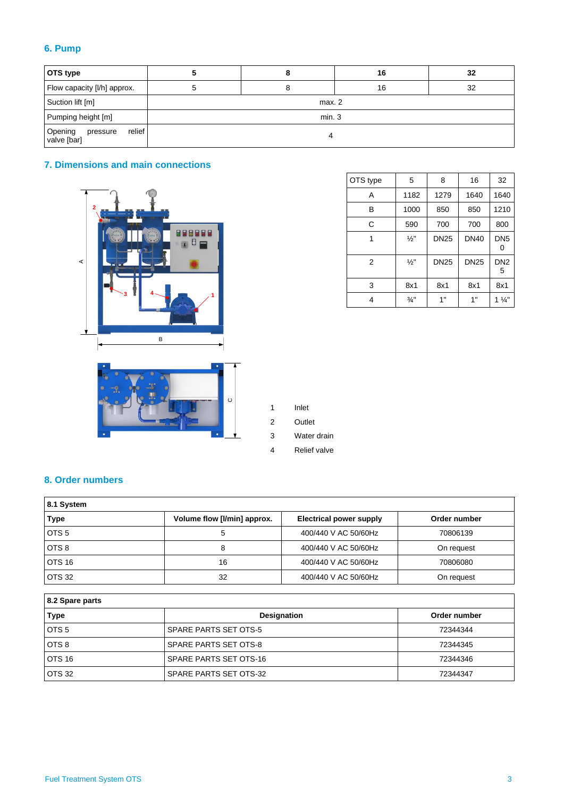## **6. Pump**

| OTS type                                     |        | 8 | 16 | 32 |
|----------------------------------------------|--------|---|----|----|
| Flow capacity [I/h] approx.                  | ວ      | 8 | 16 | 32 |
| Suction lift [m]                             | max. 2 |   |    |    |
| Pumping height [m]                           | min.3  |   |    |    |
| relief<br>Opening<br>valve [bar]<br>pressure |        |   |    |    |

## **7. Dimensions and main connections**





| OTS type | 5               | 8           | 16          | 32                   |
|----------|-----------------|-------------|-------------|----------------------|
| A        | 1182            | 1279        | 1640        | 1640                 |
| B        | 1000            | 850         | 850         | 1210                 |
| C        | 590             | 700         | 700         | 800                  |
| 1        | $\frac{1}{2}$ " | <b>DN25</b> | <b>DN40</b> | DN <sub>5</sub>      |
| 2        | $\frac{1}{2}$ " | <b>DN25</b> | <b>DN25</b> | DN <sub>2</sub><br>5 |
| 3        | 8x1             | 8x1         | 8x1         | 8x1                  |
| 4        | $\frac{3}{4}$ " | 1"          | 1"          | $1\frac{1}{4}$       |

1 Inlet

2 Outlet

3 Water drain

4 Relief valve

## **8. Order numbers**

| 8.1 System       |                             |                                |              |
|------------------|-----------------------------|--------------------------------|--------------|
| <b>Type</b>      | Volume flow [I/min] approx. | <b>Electrical power supply</b> | Order number |
| OTS <sub>5</sub> | 5                           | 400/440 V AC 50/60Hz           | 70806139     |
| OTS <sub>8</sub> | 8                           | 400/440 V AC 50/60Hz           | On request   |
| <b>OTS 16</b>    | 16                          | 400/440 V AC 50/60Hz           | 70806080     |
| <b>OTS 32</b>    | 32                          | 400/440 V AC 50/60Hz           | On request   |

| 8.2 Spare parts  |                               |              |  |
|------------------|-------------------------------|--------------|--|
| Type             | <b>Designation</b>            | Order number |  |
| OTS <sub>5</sub> | SPARE PARTS SET OTS-5         | 72344344     |  |
| OTS 8            | SPARE PARTS SET OTS-8         | 72344345     |  |
| OTS 16           | <b>SPARE PARTS SET OTS-16</b> | 72344346     |  |
| <b>OTS 32</b>    | SPARE PARTS SET OTS-32        | 72344347     |  |